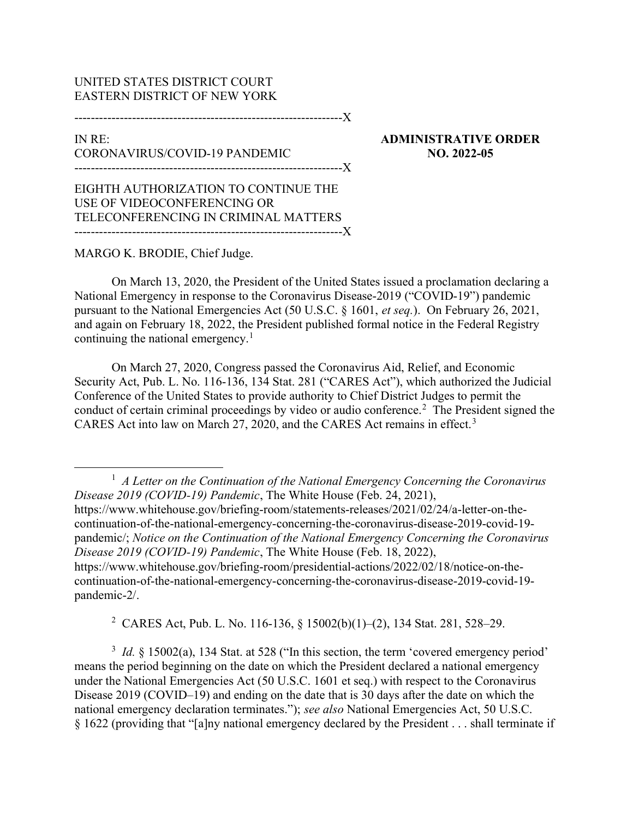## UNITED STATES DISTRICT COURT EASTERN DISTRICT OF NEW YORK

-----------------------------------------------------------------X

## IN RE: CORONAVIRUS/COVID-19 PANDEMIC -----------------------------------------------------------------X

ADMINISTRATIVE ORDER NO. 2022-05

EIGHTH AUTHORIZATION TO CONTINUE THE USE OF VIDEOCONFERENCING OR TELECONFERENCING IN CRIMINAL MATTERS -----------------------------------------------------------------X

## MARGO K. BRODIE, Chief Judge.

On March 13, 2020, the President of the United States issued a proclamation declaring a National Emergency in response to the Coronavirus Disease-2019 ("COVID-19") pandemic pursuant to the National Emergencies Act (50 U.S.C. § 1601, et seq.). On February 26, 2021, and again on February 18, 2022, the President published formal notice in the Federal Registry continuing the national emergency.<sup>1</sup>

On March 27, 2020, Congress passed the Coronavirus Aid, Relief, and Economic Security Act, Pub. L. No. 116-136, 134 Stat. 281 ("CARES Act"), which authorized the Judicial Conference of the United States to provide authority to Chief District Judges to permit the conduct of certain criminal proceedings by video or audio conference.<sup>2</sup> The President signed the CARES Act into law on March 27, 2020, and the CARES Act remains in effect.<sup>3</sup>

2 CARES Act, Pub. L. No. 116-136, § 15002(b)(1)–(2), 134 Stat. 281, 528–29.

 $3$  *Id.* § 15002(a), 134 Stat. at 528 ("In this section, the term 'covered emergency period' means the period beginning on the date on which the President declared a national emergency under the National Emergencies Act (50 U.S.C. 1601 et seq.) with respect to the Coronavirus Disease 2019 (COVID–19) and ending on the date that is 30 days after the date on which the national emergency declaration terminates."); see also National Emergencies Act, 50 U.S.C. § 1622 (providing that "[a]ny national emergency declared by the President . . . shall terminate if

 $<sup>1</sup>$  A Letter on the Continuation of the National Emergency Concerning the Coronavirus</sup> Disease 2019 (COVID-19) Pandemic, The White House (Feb. 24, 2021), https://www.whitehouse.gov/briefing-room/statements-releases/2021/02/24/a-letter-on-thecontinuation-of-the-national-emergency-concerning-the-coronavirus-disease-2019-covid-19 pandemic/; Notice on the Continuation of the National Emergency Concerning the Coronavirus Disease 2019 (COVID-19) Pandemic, The White House (Feb. 18, 2022), https://www.whitehouse.gov/briefing-room/presidential-actions/2022/02/18/notice-on-thecontinuation-of-the-national-emergency-concerning-the-coronavirus-disease-2019-covid-19 pandemic-2/.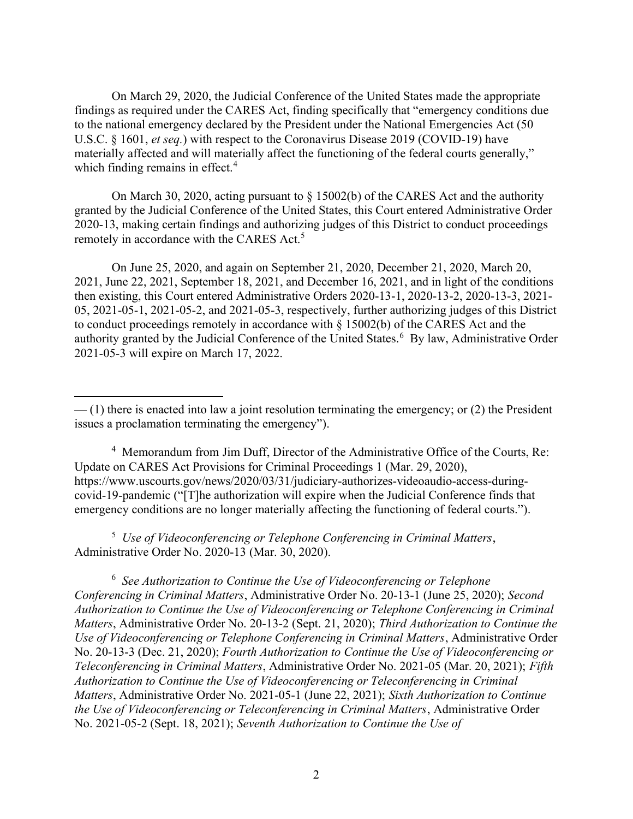On March 29, 2020, the Judicial Conference of the United States made the appropriate findings as required under the CARES Act, finding specifically that "emergency conditions due to the national emergency declared by the President under the National Emergencies Act (50 U.S.C. § 1601, et seq.) with respect to the Coronavirus Disease 2019 (COVID-19) have materially affected and will materially affect the functioning of the federal courts generally," which finding remains in effect.<sup>4</sup>

On March 30, 2020, acting pursuant to § 15002(b) of the CARES Act and the authority granted by the Judicial Conference of the United States, this Court entered Administrative Order 2020-13, making certain findings and authorizing judges of this District to conduct proceedings remotely in accordance with the CARES Act.<sup>5</sup>

On June 25, 2020, and again on September 21, 2020, December 21, 2020, March 20, 2021, June 22, 2021, September 18, 2021, and December 16, 2021, and in light of the conditions then existing, this Court entered Administrative Orders 2020-13-1, 2020-13-2, 2020-13-3, 2021- 05, 2021-05-1, 2021-05-2, and 2021-05-3, respectively, further authorizing judges of this District to conduct proceedings remotely in accordance with § 15002(b) of the CARES Act and the authority granted by the Judicial Conference of the United States.<sup>6</sup> By law, Administrative Order 2021-05-3 will expire on March 17, 2022.

4 Memorandum from Jim Duff, Director of the Administrative Office of the Courts, Re: Update on CARES Act Provisions for Criminal Proceedings 1 (Mar. 29, 2020), https://www.uscourts.gov/news/2020/03/31/judiciary-authorizes-videoaudio-access-duringcovid-19-pandemic ("[T]he authorization will expire when the Judicial Conference finds that emergency conditions are no longer materially affecting the functioning of federal courts.").

<sup>5</sup> Use of Videoconferencing or Telephone Conferencing in Criminal Matters, Administrative Order No. 2020-13 (Mar. 30, 2020).

 $6$  See Authorization to Continue the Use of Videoconferencing or Telephone Conferencing in Criminal Matters, Administrative Order No. 20-13-1 (June 25, 2020); Second Authorization to Continue the Use of Videoconferencing or Telephone Conferencing in Criminal Matters, Administrative Order No. 20-13-2 (Sept. 21, 2020); Third Authorization to Continue the Use of Videoconferencing or Telephone Conferencing in Criminal Matters, Administrative Order No. 20-13-3 (Dec. 21, 2020); Fourth Authorization to Continue the Use of Videoconferencing or Teleconferencing in Criminal Matters, Administrative Order No. 2021-05 (Mar. 20, 2021); Fifth Authorization to Continue the Use of Videoconferencing or Teleconferencing in Criminal Matters, Administrative Order No. 2021-05-1 (June 22, 2021); Sixth Authorization to Continue the Use of Videoconferencing or Teleconferencing in Criminal Matters, Administrative Order No. 2021-05-2 (Sept. 18, 2021); Seventh Authorization to Continue the Use of

 $-$  (1) there is enacted into law a joint resolution terminating the emergency; or (2) the President issues a proclamation terminating the emergency").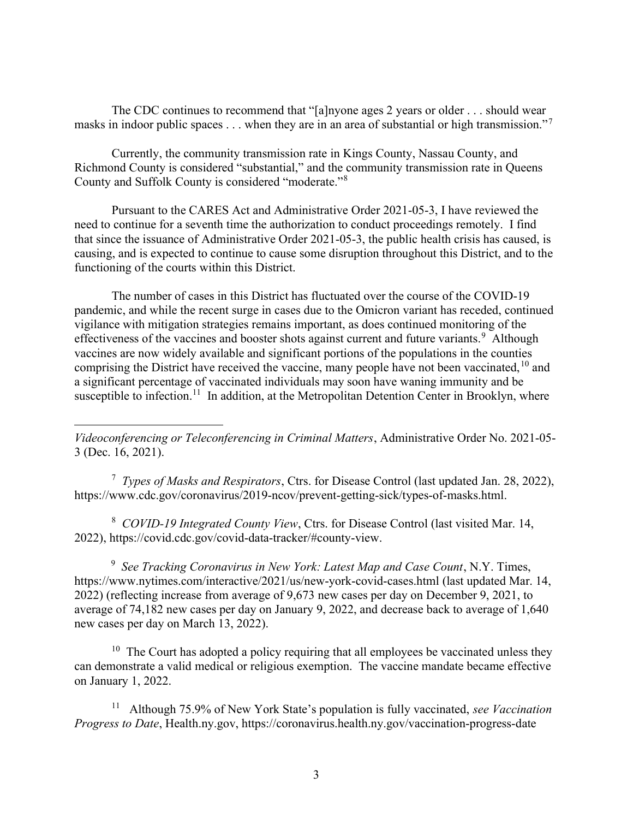The CDC continues to recommend that "[a]nyone ages 2 years or older . . . should wear masks in indoor public spaces . . . when they are in an area of substantial or high transmission."<sup>7</sup>

Currently, the community transmission rate in Kings County, Nassau County, and Richmond County is considered "substantial," and the community transmission rate in Queens County and Suffolk County is considered "moderate."<sup>8</sup>

Pursuant to the CARES Act and Administrative Order 2021-05-3, I have reviewed the need to continue for a seventh time the authorization to conduct proceedings remotely. I find that since the issuance of Administrative Order 2021-05-3, the public health crisis has caused, is causing, and is expected to continue to cause some disruption throughout this District, and to the functioning of the courts within this District.

The number of cases in this District has fluctuated over the course of the COVID-19 pandemic, and while the recent surge in cases due to the Omicron variant has receded, continued vigilance with mitigation strategies remains important, as does continued monitoring of the effectiveness of the vaccines and booster shots against current and future variants.<sup>9</sup> Although vaccines are now widely available and significant portions of the populations in the counties comprising the District have received the vaccine, many people have not been vaccinated,  $10$  and a significant percentage of vaccinated individuals may soon have waning immunity and be susceptible to infection.<sup>11</sup> In addition, at the Metropolitan Detention Center in Brooklyn, where

Videoconferencing or Teleconferencing in Criminal Matters, Administrative Order No. 2021-05- 3 (Dec. 16, 2021).

<sup>7</sup> Types of Masks and Respirators, Ctrs. for Disease Control (last updated Jan. 28, 2022), https://www.cdc.gov/coronavirus/2019-ncov/prevent-getting-sick/types-of-masks.html.

<sup>8</sup> COVID-19 Integrated County View, Ctrs. for Disease Control (last visited Mar. 14, 2022), https://covid.cdc.gov/covid-data-tracker/#county-view.

<sup>9</sup> See Tracking Coronavirus in New York: Latest Map and Case Count, N.Y. Times, https://www.nytimes.com/interactive/2021/us/new-york-covid-cases.html (last updated Mar. 14, 2022) (reflecting increase from average of 9,673 new cases per day on December 9, 2021, to average of 74,182 new cases per day on January 9, 2022, and decrease back to average of 1,640 new cases per day on March 13, 2022).

 $10$  The Court has adopted a policy requiring that all employees be vaccinated unless they can demonstrate a valid medical or religious exemption. The vaccine mandate became effective on January 1, 2022.

<sup>11</sup> Although 75.9% of New York State's population is fully vaccinated, see Vaccination Progress to Date, Health.ny.gov, https://coronavirus.health.ny.gov/vaccination-progress-date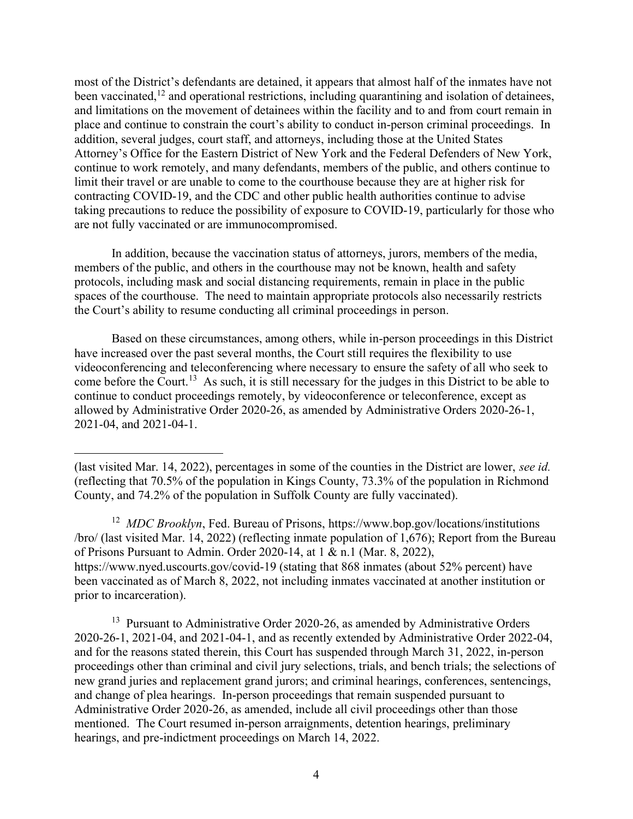most of the District's defendants are detained, it appears that almost half of the inmates have not been vaccinated,<sup>12</sup> and operational restrictions, including quarantining and isolation of detainees, and limitations on the movement of detainees within the facility and to and from court remain in place and continue to constrain the court's ability to conduct in-person criminal proceedings. In addition, several judges, court staff, and attorneys, including those at the United States Attorney's Office for the Eastern District of New York and the Federal Defenders of New York, continue to work remotely, and many defendants, members of the public, and others continue to limit their travel or are unable to come to the courthouse because they are at higher risk for contracting COVID-19, and the CDC and other public health authorities continue to advise taking precautions to reduce the possibility of exposure to COVID-19, particularly for those who are not fully vaccinated or are immunocompromised.

In addition, because the vaccination status of attorneys, jurors, members of the media, members of the public, and others in the courthouse may not be known, health and safety protocols, including mask and social distancing requirements, remain in place in the public spaces of the courthouse. The need to maintain appropriate protocols also necessarily restricts the Court's ability to resume conducting all criminal proceedings in person.

Based on these circumstances, among others, while in-person proceedings in this District have increased over the past several months, the Court still requires the flexibility to use videoconferencing and teleconferencing where necessary to ensure the safety of all who seek to come before the Court.<sup>13</sup> As such, it is still necessary for the judges in this District to be able to continue to conduct proceedings remotely, by videoconference or teleconference, except as allowed by Administrative Order 2020-26, as amended by Administrative Orders 2020-26-1, 2021-04, and 2021-04-1.

<sup>12</sup> MDC Brooklyn, Fed. Bureau of Prisons, https://www.bop.gov/locations/institutions /bro/ (last visited Mar. 14, 2022) (reflecting inmate population of 1,676); Report from the Bureau of Prisons Pursuant to Admin. Order 2020-14, at 1 & n.1 (Mar. 8, 2022), https://www.nyed.uscourts.gov/covid-19 (stating that 868 inmates (about 52% percent) have been vaccinated as of March 8, 2022, not including inmates vaccinated at another institution or prior to incarceration).

 $13$  Pursuant to Administrative Order 2020-26, as amended by Administrative Orders 2020-26-1, 2021-04, and 2021-04-1, and as recently extended by Administrative Order 2022-04, and for the reasons stated therein, this Court has suspended through March 31, 2022, in-person proceedings other than criminal and civil jury selections, trials, and bench trials; the selections of new grand juries and replacement grand jurors; and criminal hearings, conferences, sentencings, and change of plea hearings. In-person proceedings that remain suspended pursuant to Administrative Order 2020-26, as amended, include all civil proceedings other than those mentioned. The Court resumed in-person arraignments, detention hearings, preliminary hearings, and pre-indictment proceedings on March 14, 2022.

<sup>(</sup>last visited Mar. 14, 2022), percentages in some of the counties in the District are lower, see id. (reflecting that 70.5% of the population in Kings County, 73.3% of the population in Richmond County, and 74.2% of the population in Suffolk County are fully vaccinated).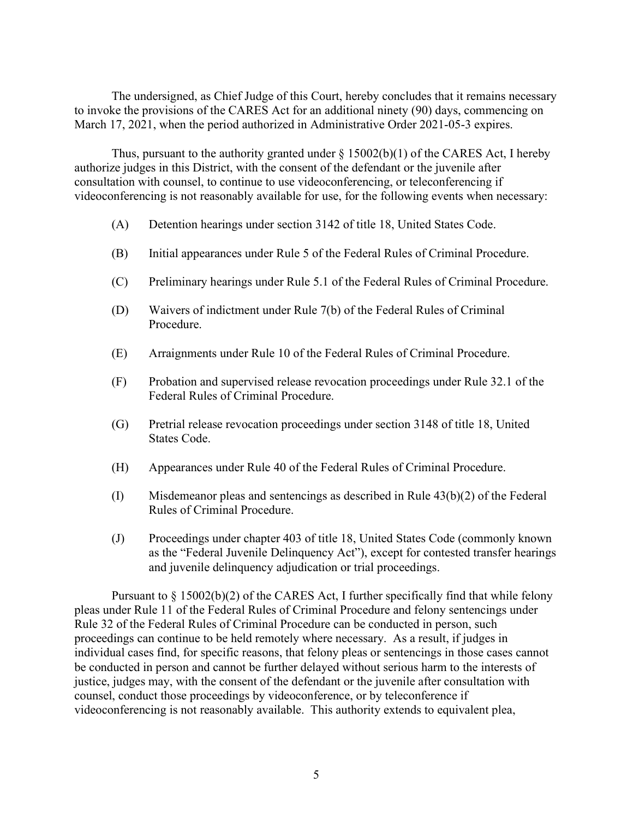The undersigned, as Chief Judge of this Court, hereby concludes that it remains necessary to invoke the provisions of the CARES Act for an additional ninety (90) days, commencing on March 17, 2021, when the period authorized in Administrative Order 2021-05-3 expires.

Thus, pursuant to the authority granted under  $\S$  15002(b)(1) of the CARES Act, I hereby authorize judges in this District, with the consent of the defendant or the juvenile after consultation with counsel, to continue to use videoconferencing, or teleconferencing if videoconferencing is not reasonably available for use, for the following events when necessary:

- (A) Detention hearings under section 3142 of title 18, United States Code.
- (B) Initial appearances under Rule 5 of the Federal Rules of Criminal Procedure.
- (C) Preliminary hearings under Rule 5.1 of the Federal Rules of Criminal Procedure.
- (D) Waivers of indictment under Rule 7(b) of the Federal Rules of Criminal Procedure.
- (E) Arraignments under Rule 10 of the Federal Rules of Criminal Procedure.
- (F) Probation and supervised release revocation proceedings under Rule 32.1 of the Federal Rules of Criminal Procedure.
- (G) Pretrial release revocation proceedings under section 3148 of title 18, United States Code.
- (H) Appearances under Rule 40 of the Federal Rules of Criminal Procedure.
- $(I)$  Misdemeanor pleas and sentencings as described in Rule 43(b)(2) of the Federal Rules of Criminal Procedure.
- (J) Proceedings under chapter 403 of title 18, United States Code (commonly known as the "Federal Juvenile Delinquency Act"), except for contested transfer hearings and juvenile delinquency adjudication or trial proceedings.

Pursuant to  $\S 15002(b)(2)$  of the CARES Act, I further specifically find that while felony pleas under Rule 11 of the Federal Rules of Criminal Procedure and felony sentencings under Rule 32 of the Federal Rules of Criminal Procedure can be conducted in person, such proceedings can continue to be held remotely where necessary. As a result, if judges in individual cases find, for specific reasons, that felony pleas or sentencings in those cases cannot be conducted in person and cannot be further delayed without serious harm to the interests of justice, judges may, with the consent of the defendant or the juvenile after consultation with counsel, conduct those proceedings by videoconference, or by teleconference if videoconferencing is not reasonably available. This authority extends to equivalent plea,